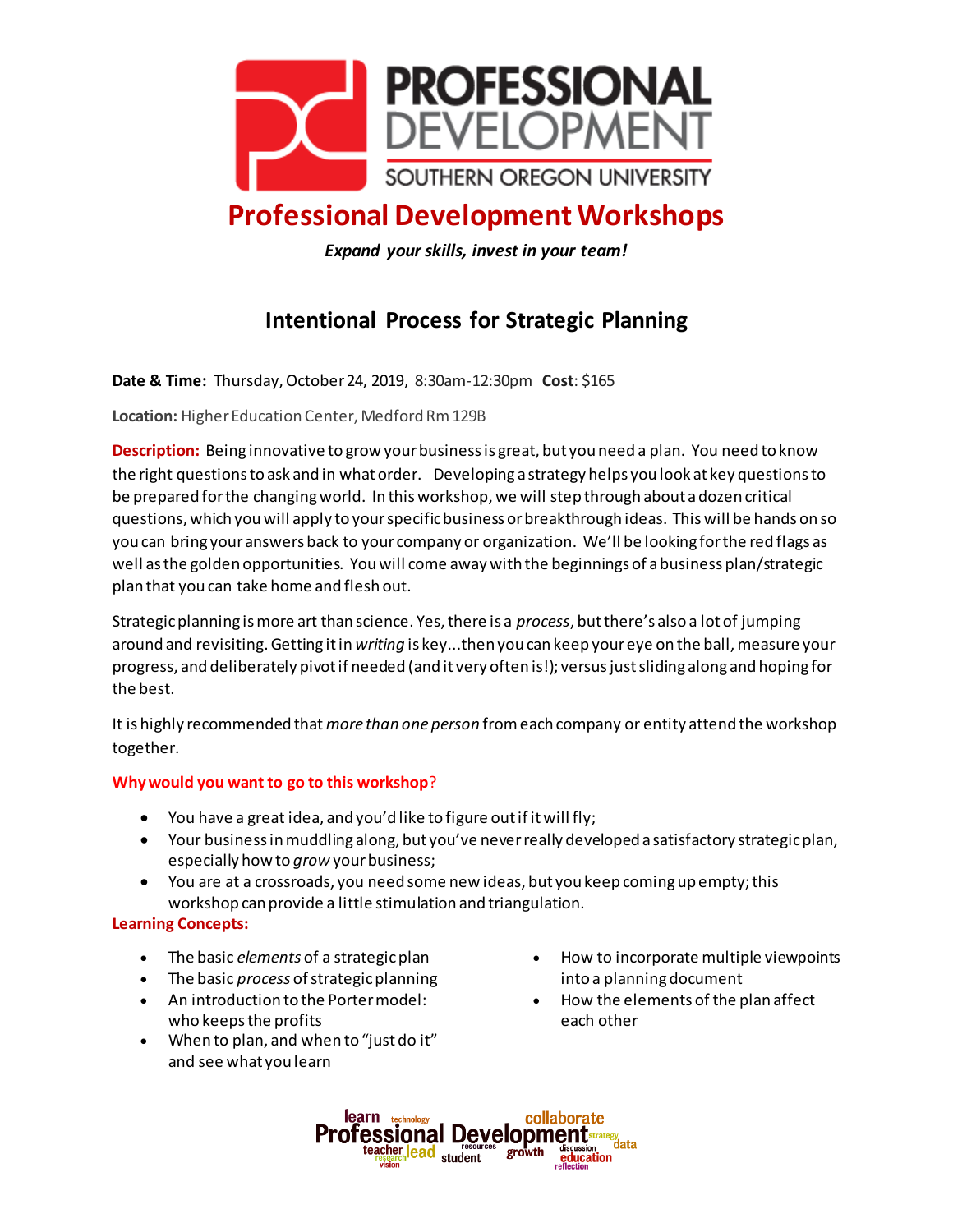

## **Professional Development Workshops**

*Expand your skills, invest in your team!*

## **Intentional Process for Strategic Planning**

**Date & Time:** Thursday, October 24, 2019, 8:30am-12:30pm **Cost**: \$165

**Location:** Higher Education Center, Medford Rm129B

**Description:** Being innovative to grow your business is great, but you need a plan. You need to know the right questions to ask and in what order. Developing a strategy helps you look at key questions to be prepared for the changing world. In this workshop, we will step through about a dozen critical questions, which you will apply to your specific business or breakthrough ideas. This will be hands on so you can bring your answers back to your company or organization. We'll be looking for the red flags as well as the golden opportunities. You will come away with the beginnings of a business plan/strategic plan that you can take home and flesh out.

Strategic planning is more art than science. Yes, there is a *process*, but there's also a lot of jumping around and revisiting. Getting it in *writing* is key...then you can keep your eye on the ball, measure your progress, and deliberately pivot if needed (and it very often is!); versus just sliding along and hoping for the best.

It is highly recommended that *more than one person* from each company or entity attend the workshop together.

## **Why would you want to go to this workshop**?

- You have a great idea, and you'd like to figure out if it will fly;
- Your business in muddling along, but you've never really developed a satisfactory strategic plan, especially how to *grow* your business;
- You are at a crossroads, you need some new ideas, but you keep coming up empty; this workshop can provide a little stimulation and triangulation.

## **Learning Concepts:**

- The basic *elements* of a strategic plan
- The basic *process* of strategic planning
- An introduction to the Porter model: who keeps the profits
- When to plan, and when to "just do it" and see what you learn
- How to incorporate multiple viewpoints into a planning document
- How the elements of the plan affect each other